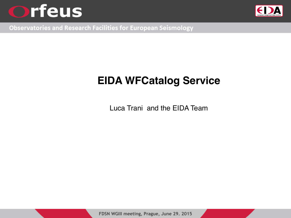



**Observatories and Research Facilities for European Seismology** 

## **EIDA WFCatalog Service**

Luca Trani and the EIDA Team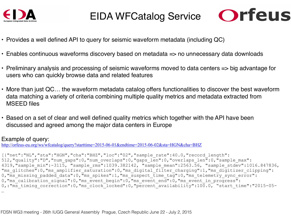

#### EIDA WFCatalog Service



- Provides a well defined API to query for seismic waveform metadata (including QC)
- Enables continuous waveforms discovery based on metadata => no unnecessary data downloads
- Preliminary analysis and processing of seismic waveforms moved to data centers => big advantage for users who can quickly browse data and related features
- More than just QC… the waveform metadata catalog offers functionalities to discover the best waveform data matching a variety of criteria combining multiple quality metrics and metadata extracted from MSEED files
- Based on a set of clear and well defined quality metrics which together with the API have been discussed and agreed among the major data centers in Europe

#### Example of query:

<http://orfeus-eu.org/ws/wfcatalog/query?starttime=2015-06-01&endtime=2015-06-02&sta=HGN&cha=BHZ>

[{"net":"NL","sta":"HGN","cha":"BHZ","loc":"02","sample\_rate":40.0,"record\_length": 512,"quality":"D","num\_gaps":0,"num\_overlaps":0,"gaps\_len":0,"overlaps\_len":0,"sample\_max": 4319, sample min":-3115, "sample rms":1039.382142, "sample mean":2563.56, "sample stdev":1016.847836, "ms\_glitches":0,"ms\_amplifier\_saturation":0,"ms\_digital\_filter\_charging":1,"ms\_digitizer\_clipping": 0, "ms missing padded data":0, "ms spikes":1, "ms suspect time tag":0, "ms telemetry sync error": 0, "ms\_calibration\_signal":0, "ms\_event\_begin":0, "ms\_event\_end":0, "ms\_event\_in\_progress":  $0, : "ms$  timing correction":0, "ms clock locked":0, "percent availability":100.0, "start time":"2015-05-…

FDSN WG3 meeting - 26th IUGG General Assembly Prague, Czech Republic June 22 - July 2, 2015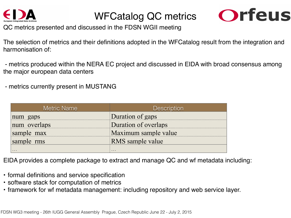

### WFCatalog QC metrics



QC metrics presented and discussed in the FDSN WGII meeting

The selection of metrics and their definitions adopted in the WFCatalog result from the integration and harmonisation of:

 - metrics produced within the NERA EC project and discussed in EIDA with broad consensus among the major european data centers

- metrics currently present in MUSTANG

| Metric Name  | <b>Description</b>      |
|--------------|-------------------------|
| num gaps     | Duration of gaps        |
| num overlaps | Duration of overlaps    |
| sample max   | Maximum sample value    |
| sample rms   | <b>RMS</b> sample value |
| .            | $\cdots$                |

EIDA provides a complete package to extract and manage QC and wf metadata including:

- formal definitions and service specification
- software stack for computation of metrics
- framework for wf metadata management: including repository and web service layer.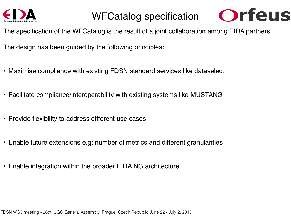

#### WFCatalog specification



The specification of the WFCatalog is the result of a joint collaboration among EIDA partners

The design has been guided by the following principles:

- Maximise compliance with existing FDSN standard services like dataselect
- Facilitate compliance/interoperability with existing systems like MUSTANG
- Provide flexibility to address different use cases
- Enable future extensions e.g: number of metrics and different granularities
- Enable integration within the broader EIDA NG architecture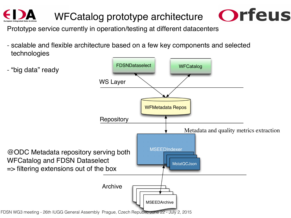# WFCatalog prototype architecture



Prototype service currently in operation/testing at different datacenters

- scalable and flexible architecture based on a few key components and selected technologies